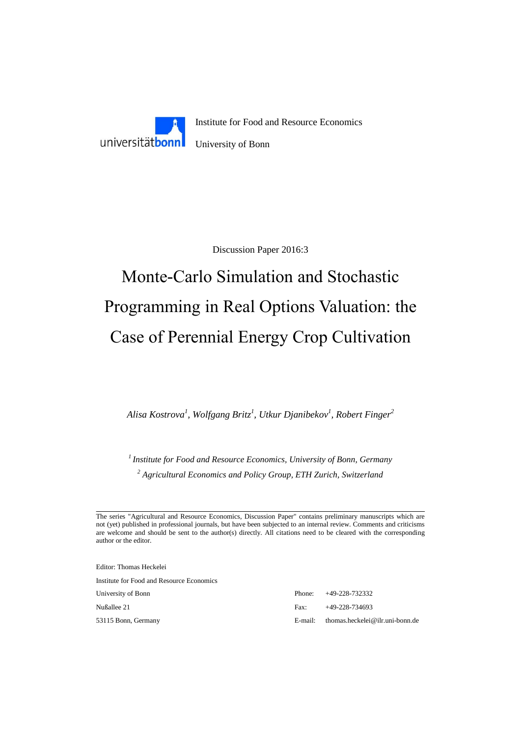

Discussion Paper 2016:3

# Monte-Carlo Simulation and Stochastic Programming in Real Options Valuation: the Case of Perennial Energy Crop Cultivation

*Alisa Kostrova<sup>1</sup> , Wolfgang Britz<sup>1</sup> , Utkur Djanibekov<sup>1</sup> , Robert Finger<sup>2</sup>*

*<sup>1</sup>Institute for Food and Resource Economics, University of Bonn, Germany <sup>2</sup> Agricultural Economics and Policy Group, ETH Zurich, Switzerland*

The series "Agricultural and Resource Economics, Discussion Paper" contains preliminary manuscripts which are not (yet) published in professional journals, but have been subjected to an internal review. Comments and criticisms are welcome and should be sent to the author(s) directly. All citations need to be cleared with the corresponding author or the editor.

Editor: Thomas Heckelei Institute for Food and Resource Economics

University of Bonn Phone: +49-228-732332 Nußallee 21 Fax: +49-228-734693 53115 Bonn, Germany E-mail: thomas.heckelei@ilr.uni-bonn.de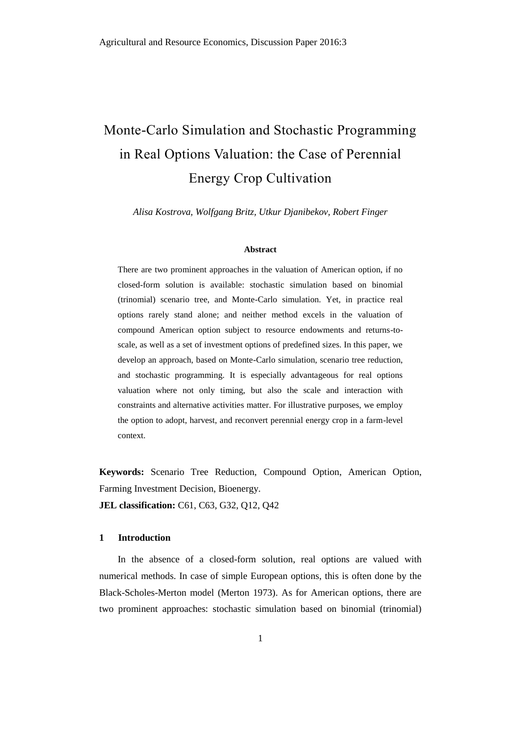## Monte-Carlo Simulation and Stochastic Programming in Real Options Valuation: the Case of Perennial Energy Crop Cultivation

*Alisa Kostrova, Wolfgang Britz, Utkur Djanibekov, Robert Finger*

#### **Abstract**

There are two prominent approaches in the valuation of American option, if no closed-form solution is available: stochastic simulation based on binomial (trinomial) scenario tree, and Monte-Carlo simulation. Yet, in practice real options rarely stand alone; and neither method excels in the valuation of compound American option subject to resource endowments and returns-toscale, as well as a set of investment options of predefined sizes. In this paper, we develop an approach, based on Monte-Carlo simulation, scenario tree reduction, and stochastic programming. It is especially advantageous for real options valuation where not only timing, but also the scale and interaction with constraints and alternative activities matter. For illustrative purposes, we employ the option to adopt, harvest, and reconvert perennial energy crop in a farm-level context.

**Keywords:** Scenario Tree Reduction, Compound Option, American Option, Farming Investment Decision, Bioenergy.

**JEL classification:** C61, C63, G32, Q12, Q42

#### **1 Introduction**

In the absence of a closed-form solution, real options are valued with numerical methods. In case of simple European options, this is often done by the Black-Scholes-Merton model (Merton 1973). As for American options, there are two prominent approaches: stochastic simulation based on binomial (trinomial)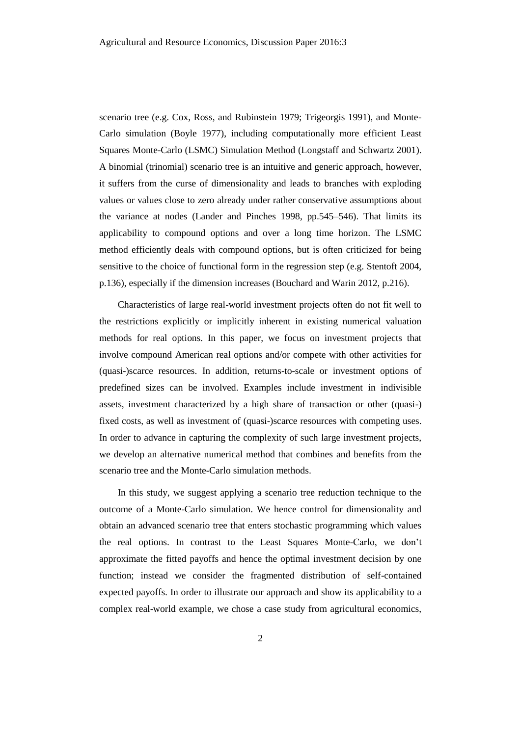scenario tree (e.g. Cox, Ross, and Rubinstein 1979; Trigeorgis 1991), and Monte-Carlo simulation (Boyle 1977), including computationally more efficient Least Squares Monte-Carlo (LSMC) Simulation Method (Longstaff and Schwartz 2001). A binomial (trinomial) scenario tree is an intuitive and generic approach, however, it suffers from the curse of dimensionality and leads to branches with exploding values or values close to zero already under rather conservative assumptions about the variance at nodes (Lander and Pinches 1998, pp.545–546). That limits its applicability to compound options and over a long time horizon. The LSMC method efficiently deals with compound options, but is often criticized for being sensitive to the choice of functional form in the regression step (e.g. Stentoft 2004, p.136), especially if the dimension increases (Bouchard and Warin 2012, p.216).

Characteristics of large real-world investment projects often do not fit well to the restrictions explicitly or implicitly inherent in existing numerical valuation methods for real options. In this paper, we focus on investment projects that involve compound American real options and/or compete with other activities for (quasi-)scarce resources. In addition, returns-to-scale or investment options of predefined sizes can be involved. Examples include investment in indivisible assets, investment characterized by a high share of transaction or other (quasi-) fixed costs, as well as investment of (quasi-)scarce resources with competing uses. In order to advance in capturing the complexity of such large investment projects, we develop an alternative numerical method that combines and benefits from the scenario tree and the Monte-Carlo simulation methods.

In this study, we suggest applying a scenario tree reduction technique to the outcome of a Monte-Carlo simulation. We hence control for dimensionality and obtain an advanced scenario tree that enters stochastic programming which values the real options. In contrast to the Least Squares Monte-Carlo, we don't approximate the fitted payoffs and hence the optimal investment decision by one function; instead we consider the fragmented distribution of self-contained expected payoffs. In order to illustrate our approach and show its applicability to a complex real-world example, we chose a case study from agricultural economics,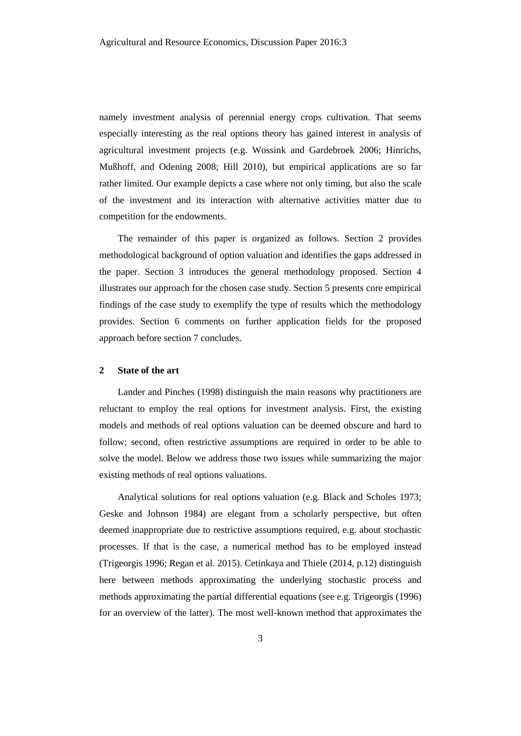namely investment analysis of perennial energy crops cultivation. That seems especially interesting as the real options theory has gained interest in analysis of agricultural investment projects (e.g. Wossink and Gardebroek 2006; Hinrichs, Mußhoff, and Odening 2008; Hill 2010), but empirical applications are so far rather limited. Our example depicts a case where not only timing, but also the scale of the investment and its interaction with alternative activities matter due to competition for the endowments.

The remainder of this paper is organized as follows. Section 2 provides methodological background of option valuation and identifies the gaps addressed in the paper. Section 3 introduces the general methodology proposed. Section 4 illustrates our approach for the chosen case study. Section 5 presents core empirical findings of the case study to exemplify the type of results which the methodology provides. Section 6 comments on further application fields for the proposed approach before section 7 concludes.

#### **2 State of the art**

Lander and Pinches (1998) distinguish the main reasons why practitioners are reluctant to employ the real options for investment analysis. First, the existing models and methods of real options valuation can be deemed obscure and hard to follow; second, often restrictive assumptions are required in order to be able to solve the model. Below we address those two issues while summarizing the major existing methods of real options valuations.

Analytical solutions for real options valuation (e.g. Black and Scholes 1973; Geske and Johnson 1984) are elegant from a scholarly perspective, but often deemed inappropriate due to restrictive assumptions required, e.g. about stochastic processes. If that is the case, a numerical method has to be employed instead (Trigeorgis 1996; Regan et al. 2015). Cetinkaya and Thiele (2014, p.12) distinguish here between methods approximating the underlying stochastic process and methods approximating the partial differential equations (see e.g. Trigeorgis (1996) for an overview of the latter). The most well-known method that approximates the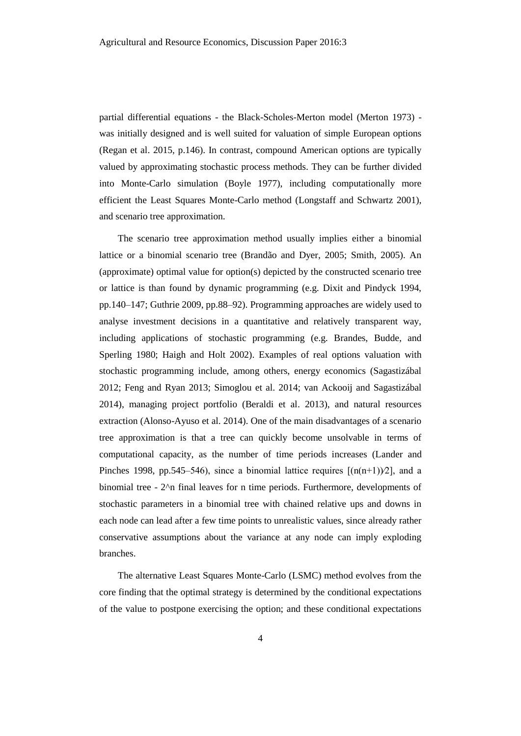partial differential equations - the Black-Scholes-Merton model (Merton 1973) was initially designed and is well suited for valuation of simple European options (Regan et al. 2015, p.146). In contrast, compound American options are typically valued by approximating stochastic process methods. They can be further divided into Monte-Carlo simulation (Boyle 1977), including computationally more efficient the Least Squares Monte-Carlo method (Longstaff and Schwartz 2001), and scenario tree approximation.

The scenario tree approximation method usually implies either a binomial lattice or a binomial scenario tree (Brandão and Dyer, 2005; Smith, 2005). An (approximate) optimal value for option(s) depicted by the constructed scenario tree or lattice is than found by dynamic programming (e.g. Dixit and Pindyck 1994, pp.140–147; Guthrie 2009, pp.88–92). Programming approaches are widely used to analyse investment decisions in a quantitative and relatively transparent way, including applications of stochastic programming (e.g. Brandes, Budde, and Sperling 1980; Haigh and Holt 2002). Examples of real options valuation with stochastic programming include, among others, energy economics (Sagastizábal 2012; Feng and Ryan 2013; Simoglou et al. 2014; van Ackooij and Sagastizábal 2014), managing project portfolio (Beraldi et al. 2013), and natural resources extraction (Alonso-Ayuso et al. 2014). One of the main disadvantages of a scenario tree approximation is that a tree can quickly become unsolvable in terms of computational capacity, as the number of time periods increases (Lander and Pinches 1998, pp.545–546), since a binomial lattice requires  $[(n(n+1))/2]$ , and a binomial tree - 2^n final leaves for n time periods. Furthermore, developments of stochastic parameters in a binomial tree with chained relative ups and downs in each node can lead after a few time points to unrealistic values, since already rather conservative assumptions about the variance at any node can imply exploding branches.

The alternative Least Squares Monte-Carlo (LSMC) method evolves from the core finding that the optimal strategy is determined by the conditional expectations of the value to postpone exercising the option; and these conditional expectations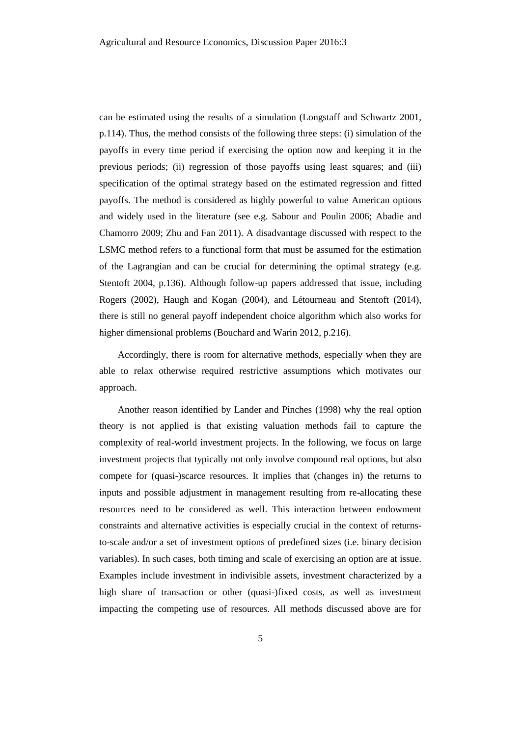can be estimated using the results of a simulation (Longstaff and Schwartz 2001, p.114). Thus, the method consists of the following three steps: (i) simulation of the payoffs in every time period if exercising the option now and keeping it in the previous periods; (ii) regression of those payoffs using least squares; and (iii) specification of the optimal strategy based on the estimated regression and fitted payoffs. The method is considered as highly powerful to value American options and widely used in the literature (see e.g. Sabour and Poulin 2006; Abadie and Chamorro 2009; Zhu and Fan 2011). A disadvantage discussed with respect to the LSMC method refers to a functional form that must be assumed for the estimation of the Lagrangian and can be crucial for determining the optimal strategy (e.g. Stentoft 2004, p.136). Although follow-up papers addressed that issue, including Rogers (2002), Haugh and Kogan (2004), and Létourneau and Stentoft (2014), there is still no general payoff independent choice algorithm which also works for higher dimensional problems (Bouchard and Warin 2012, p.216).

Accordingly, there is room for alternative methods, especially when they are able to relax otherwise required restrictive assumptions which motivates our approach.

Another reason identified by Lander and Pinches (1998) why the real option theory is not applied is that existing valuation methods fail to capture the complexity of real-world investment projects. In the following, we focus on large investment projects that typically not only involve compound real options, but also compete for (quasi-)scarce resources. It implies that (changes in) the returns to inputs and possible adjustment in management resulting from re-allocating these resources need to be considered as well. This interaction between endowment constraints and alternative activities is especially crucial in the context of returnsto-scale and/or a set of investment options of predefined sizes (i.e. binary decision variables). In such cases, both timing and scale of exercising an option are at issue. Examples include investment in indivisible assets, investment characterized by a high share of transaction or other (quasi-)fixed costs, as well as investment impacting the competing use of resources. All methods discussed above are for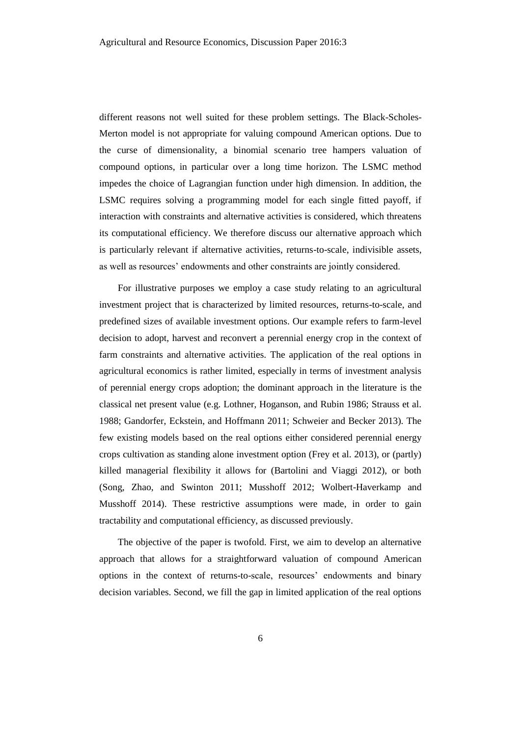different reasons not well suited for these problem settings. The Black-Scholes-Merton model is not appropriate for valuing compound American options. Due to the curse of dimensionality, a binomial scenario tree hampers valuation of compound options, in particular over a long time horizon. The LSMC method impedes the choice of Lagrangian function under high dimension. In addition, the LSMC requires solving a programming model for each single fitted payoff, if interaction with constraints and alternative activities is considered, which threatens its computational efficiency. We therefore discuss our alternative approach which is particularly relevant if alternative activities, returns-to-scale, indivisible assets, as well as resources' endowments and other constraints are jointly considered.

For illustrative purposes we employ a case study relating to an agricultural investment project that is characterized by limited resources, returns-to-scale, and predefined sizes of available investment options. Our example refers to farm-level decision to adopt, harvest and reconvert a perennial energy crop in the context of farm constraints and alternative activities. The application of the real options in agricultural economics is rather limited, especially in terms of investment analysis of perennial energy crops adoption; the dominant approach in the literature is the classical net present value (e.g. Lothner, Hoganson, and Rubin 1986; Strauss et al. 1988; Gandorfer, Eckstein, and Hoffmann 2011; Schweier and Becker 2013). The few existing models based on the real options either considered perennial energy crops cultivation as standing alone investment option (Frey et al. 2013), or (partly) killed managerial flexibility it allows for (Bartolini and Viaggi 2012), or both (Song, Zhao, and Swinton 2011; Musshoff 2012; Wolbert-Haverkamp and Musshoff 2014). These restrictive assumptions were made, in order to gain tractability and computational efficiency, as discussed previously.

The objective of the paper is twofold. First, we aim to develop an alternative approach that allows for a straightforward valuation of compound American options in the context of returns-to-scale, resources' endowments and binary decision variables. Second, we fill the gap in limited application of the real options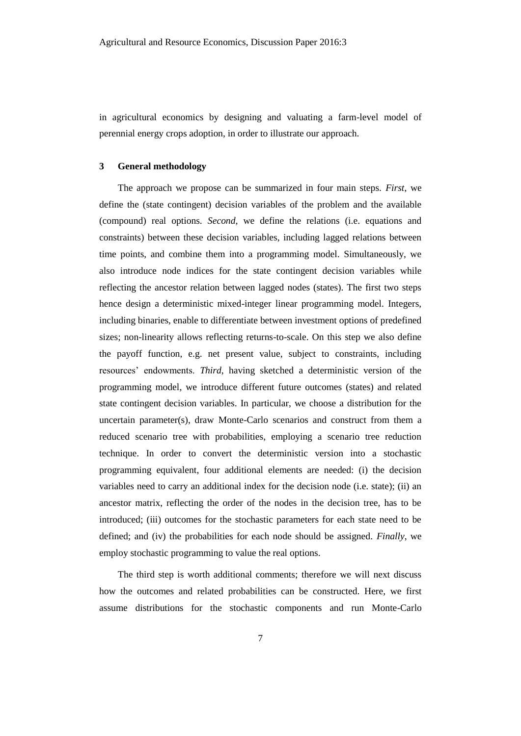in agricultural economics by designing and valuating a farm-level model of perennial energy crops adoption, in order to illustrate our approach.

#### **3 General methodology**

The approach we propose can be summarized in four main steps. *First*, we define the (state contingent) decision variables of the problem and the available (compound) real options. *Second*, we define the relations (i.e. equations and constraints) between these decision variables, including lagged relations between time points, and combine them into a programming model. Simultaneously, we also introduce node indices for the state contingent decision variables while reflecting the ancestor relation between lagged nodes (states). The first two steps hence design a deterministic mixed-integer linear programming model. Integers, including binaries, enable to differentiate between investment options of predefined sizes; non-linearity allows reflecting returns-to-scale. On this step we also define the payoff function, e.g. net present value, subject to constraints, including resources' endowments. *Third*, having sketched a deterministic version of the programming model, we introduce different future outcomes (states) and related state contingent decision variables. In particular, we choose a distribution for the uncertain parameter(s), draw Monte-Carlo scenarios and construct from them a reduced scenario tree with probabilities, employing a scenario tree reduction technique. In order to convert the deterministic version into a stochastic programming equivalent, four additional elements are needed: (i) the decision variables need to carry an additional index for the decision node (i.e. state); (ii) an ancestor matrix, reflecting the order of the nodes in the decision tree, has to be introduced; (iii) outcomes for the stochastic parameters for each state need to be defined; and (iv) the probabilities for each node should be assigned. *Finally*, we employ stochastic programming to value the real options.

The third step is worth additional comments; therefore we will next discuss how the outcomes and related probabilities can be constructed. Here, we first assume distributions for the stochastic components and run Monte-Carlo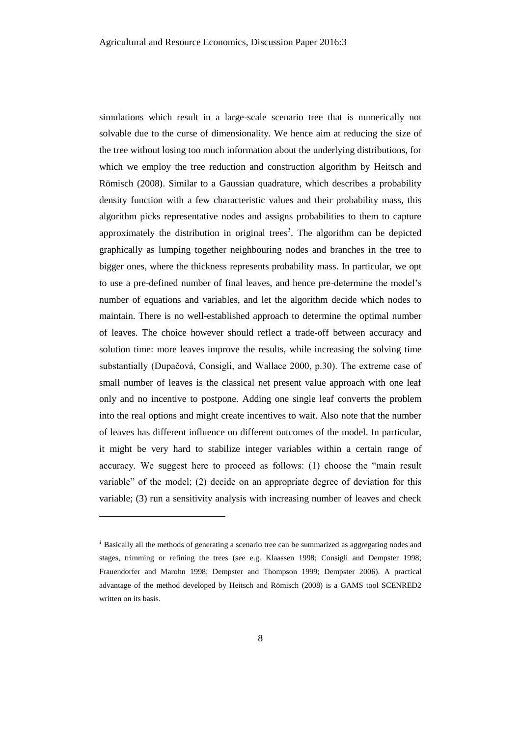simulations which result in a large-scale scenario tree that is numerically not solvable due to the curse of dimensionality. We hence aim at reducing the size of the tree without losing too much information about the underlying distributions, for which we employ the tree reduction and construction algorithm by Heitsch and Römisch (2008). Similar to a Gaussian quadrature, which describes a probability density function with a few characteristic values and their probability mass, this algorithm picks representative nodes and assigns probabilities to them to capture approximately the distribution in original trees*<sup>1</sup>* . The algorithm can be depicted graphically as lumping together neighbouring nodes and branches in the tree to bigger ones, where the thickness represents probability mass. In particular, we opt to use a pre-defined number of final leaves, and hence pre-determine the model's number of equations and variables, and let the algorithm decide which nodes to maintain. There is no well-established approach to determine the optimal number of leaves. The choice however should reflect a trade-off between accuracy and solution time: more leaves improve the results, while increasing the solving time substantially (Dupačová, Consigli, and Wallace 2000, p.30). The extreme case of small number of leaves is the classical net present value approach with one leaf only and no incentive to postpone. Adding one single leaf converts the problem into the real options and might create incentives to wait. Also note that the number of leaves has different influence on different outcomes of the model. In particular, it might be very hard to stabilize integer variables within a certain range of accuracy. We suggest here to proceed as follows: (1) choose the "main result variable" of the model; (2) decide on an appropriate degree of deviation for this variable; (3) run a sensitivity analysis with increasing number of leaves and check

l

<sup>&</sup>lt;sup>*1*</sup> Basically all the methods of generating a scenario tree can be summarized as aggregating nodes and stages, trimming or refining the trees (see e.g. Klaassen 1998; Consigli and Dempster 1998; Frauendorfer and Marohn 1998; Dempster and Thompson 1999; Dempster 2006). A practical advantage of the method developed by Heitsch and Römisch (2008) is a GAMS tool SCENRED2 written on its basis.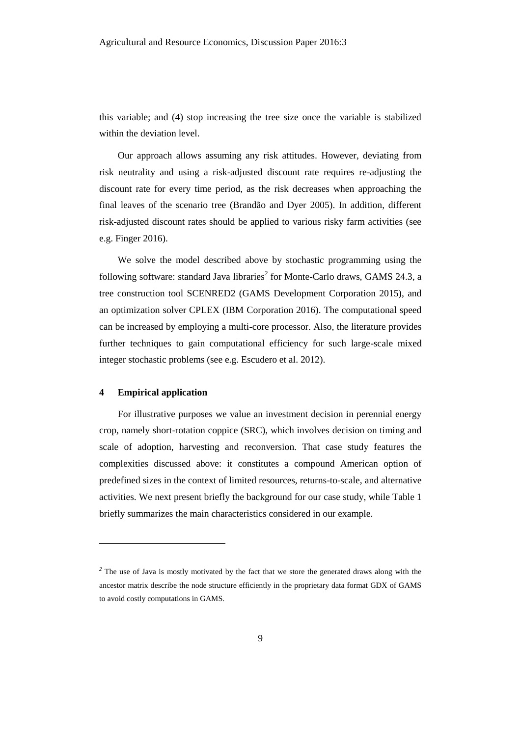this variable; and (4) stop increasing the tree size once the variable is stabilized within the deviation level.

Our approach allows assuming any risk attitudes. However, deviating from risk neutrality and using a risk-adjusted discount rate requires re-adjusting the discount rate for every time period, as the risk decreases when approaching the final leaves of the scenario tree (Brandão and Dyer 2005). In addition, different risk-adjusted discount rates should be applied to various risky farm activities (see e.g. Finger 2016).

We solve the model described above by stochastic programming using the following software: standard Java libraries*<sup>2</sup>* for Monte-Carlo draws, GAMS 24.3, a tree construction tool SCENRED2 (GAMS Development Corporation 2015), and an optimization solver CPLEX (IBM Corporation 2016). The computational speed can be increased by employing a multi-core processor. Also, the literature provides further techniques to gain computational efficiency for such large-scale mixed integer stochastic problems (see e.g. Escudero et al. 2012).

#### **4 Empirical application**

 $\overline{\phantom{a}}$ 

For illustrative purposes we value an investment decision in perennial energy crop, namely short-rotation coppice (SRC), which involves decision on timing and scale of adoption, harvesting and reconversion. That case study features the complexities discussed above: it constitutes a compound American option of predefined sizes in the context of limited resources, returns-to-scale, and alternative activities. We next present briefly the background for our case study, while Table 1 briefly summarizes the main characteristics considered in our example.

<sup>&</sup>lt;sup>2</sup> The use of Java is mostly motivated by the fact that we store the generated draws along with the ancestor matrix describe the node structure efficiently in the proprietary data format GDX of GAMS to avoid costly computations in GAMS.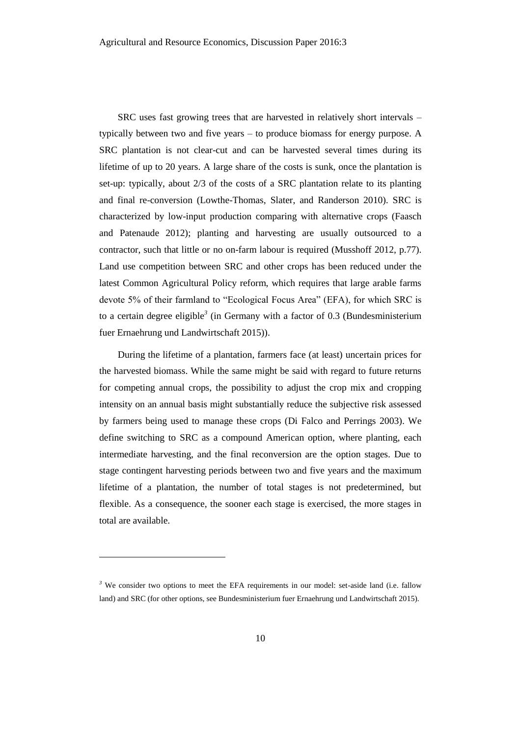SRC uses fast growing trees that are harvested in relatively short intervals – typically between two and five years – to produce biomass for energy purpose. A SRC plantation is not clear-cut and can be harvested several times during its lifetime of up to 20 years. A large share of the costs is sunk, once the plantation is set-up: typically, about 2/3 of the costs of a SRC plantation relate to its planting and final re-conversion (Lowthe-Thomas, Slater, and Randerson 2010). SRC is characterized by low-input production comparing with alternative crops (Faasch and Patenaude 2012); planting and harvesting are usually outsourced to a contractor, such that little or no on-farm labour is required (Musshoff 2012, p.77). Land use competition between SRC and other crops has been reduced under the latest Common Agricultural Policy reform, which requires that large arable farms devote 5% of their farmland to "Ecological Focus Area" (EFA), for which SRC is to a certain degree eligible*<sup>3</sup>* (in Germany with a factor of 0.3 (Bundesministerium fuer Ernaehrung und Landwirtschaft 2015)).

During the lifetime of a plantation, farmers face (at least) uncertain prices for the harvested biomass. While the same might be said with regard to future returns for competing annual crops, the possibility to adjust the crop mix and cropping intensity on an annual basis might substantially reduce the subjective risk assessed by farmers being used to manage these crops (Di Falco and Perrings 2003). We define switching to SRC as a compound American option, where planting, each intermediate harvesting, and the final reconversion are the option stages. Due to stage contingent harvesting periods between two and five years and the maximum lifetime of a plantation, the number of total stages is not predetermined, but flexible. As a consequence, the sooner each stage is exercised, the more stages in total are available.

l

<sup>&</sup>lt;sup>3</sup> We consider two options to meet the EFA requirements in our model: set-aside land (i.e. fallow land) and SRC (for other options, see Bundesministerium fuer Ernaehrung und Landwirtschaft 2015).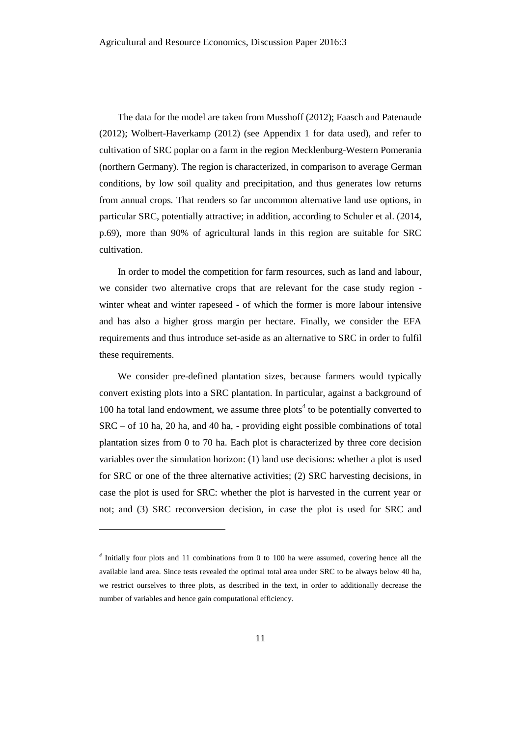The data for the model are taken from Musshoff (2012); Faasch and Patenaude (2012); Wolbert-Haverkamp (2012) (see Appendix 1 for data used), and refer to cultivation of SRC poplar on a farm in the region Mecklenburg-Western Pomerania (northern Germany). The region is characterized, in comparison to average German conditions, by low soil quality and precipitation, and thus generates low returns from annual crops. That renders so far uncommon alternative land use options, in particular SRC, potentially attractive; in addition, according to Schuler et al. (2014, p.69), more than 90% of agricultural lands in this region are suitable for SRC cultivation.

In order to model the competition for farm resources, such as land and labour, we consider two alternative crops that are relevant for the case study region winter wheat and winter rapeseed - of which the former is more labour intensive and has also a higher gross margin per hectare. Finally, we consider the EFA requirements and thus introduce set-aside as an alternative to SRC in order to fulfil these requirements.

We consider pre-defined plantation sizes, because farmers would typically convert existing plots into a SRC plantation. In particular, against a background of 100 ha total land endowment, we assume three plots*<sup>4</sup>* to be potentially converted to SRC – of 10 ha, 20 ha, and 40 ha, - providing eight possible combinations of total plantation sizes from 0 to 70 ha. Each plot is characterized by three core decision variables over the simulation horizon: (1) land use decisions: whether a plot is used for SRC or one of the three alternative activities; (2) SRC harvesting decisions, in case the plot is used for SRC: whether the plot is harvested in the current year or not; and (3) SRC reconversion decision, in case the plot is used for SRC and

l

*<sup>4</sup>* Initially four plots and 11 combinations from 0 to 100 ha were assumed, covering hence all the available land area. Since tests revealed the optimal total area under SRC to be always below 40 ha, we restrict ourselves to three plots, as described in the text, in order to additionally decrease the number of variables and hence gain computational efficiency.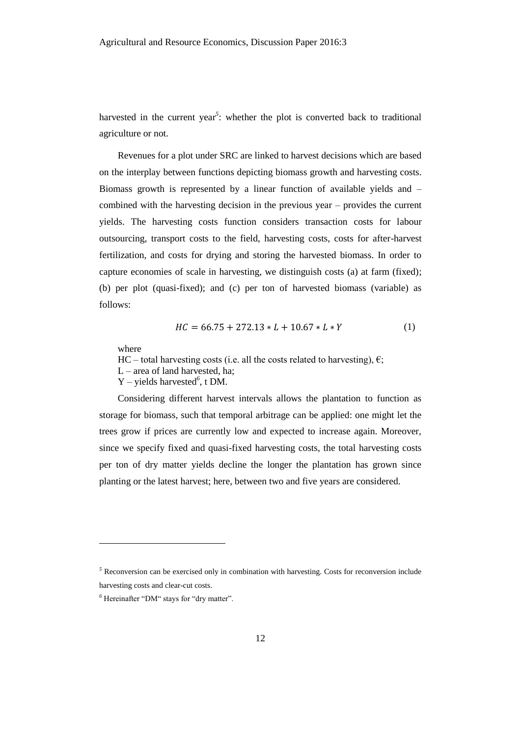harvested in the current year<sup>5</sup>: whether the plot is converted back to traditional agriculture or not.

Revenues for a plot under SRC are linked to harvest decisions which are based on the interplay between functions depicting biomass growth and harvesting costs. Biomass growth is represented by a linear function of available yields and  $$ combined with the harvesting decision in the previous year – provides the current yields. The harvesting costs function considers transaction costs for labour outsourcing, transport costs to the field, harvesting costs, costs for after-harvest fertilization, and costs for drying and storing the harvested biomass. In order to capture economies of scale in harvesting, we distinguish costs (a) at farm (fixed); (b) per plot (quasi-fixed); and (c) per ton of harvested biomass (variable) as follows:

$$
HC = 66.75 + 272.13 * L + 10.67 * L * Y \tag{1}
$$

where

 $\overline{\phantom{a}}$ 

HC – total harvesting costs (i.e. all the costs related to harvesting),  $\epsilon$ ;  $L$  – area of land harvested, ha;

Y – yields harvested*<sup>6</sup>* , t DM.

Considering different harvest intervals allows the plantation to function as storage for biomass, such that temporal arbitrage can be applied: one might let the trees grow if prices are currently low and expected to increase again. Moreover, since we specify fixed and quasi-fixed harvesting costs, the total harvesting costs per ton of dry matter yields decline the longer the plantation has grown since planting or the latest harvest; here, between two and five years are considered.

*<sup>5</sup>* Reconversion can be exercised only in combination with harvesting. Costs for reconversion include harvesting costs and clear-cut costs.

*<sup>6</sup>* Hereinafter "DM" stays for "dry matter".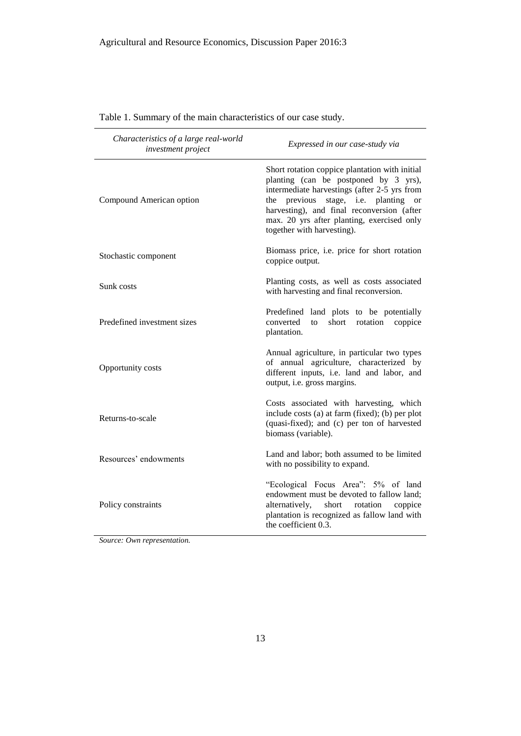Table 1. Summary of the main characteristics of our case study.

| Characteristics of a large real-world<br>investment project | Expressed in our case-study via                                                                                                                                                                                                                                                                                           |  |  |
|-------------------------------------------------------------|---------------------------------------------------------------------------------------------------------------------------------------------------------------------------------------------------------------------------------------------------------------------------------------------------------------------------|--|--|
| Compound American option                                    | Short rotation coppice plantation with initial<br>planting (can be postponed by 3 yrs),<br>intermediate harvestings (after 2-5 yrs from<br>previous<br>stage, i.e. planting<br>the<br><b>or</b><br>harvesting), and final reconversion (after<br>max. 20 yrs after planting, exercised only<br>together with harvesting). |  |  |
| Stochastic component                                        | Biomass price, i.e. price for short rotation<br>coppice output.                                                                                                                                                                                                                                                           |  |  |
| Sunk costs                                                  | Planting costs, as well as costs associated<br>with harvesting and final reconversion.                                                                                                                                                                                                                                    |  |  |
| Predefined investment sizes                                 | Predefined land plots to be potentially<br>short<br>rotation<br>converted<br>coppice<br>to<br>plantation.                                                                                                                                                                                                                 |  |  |
| Opportunity costs                                           | Annual agriculture, in particular two types<br>of annual agriculture, characterized by<br>different inputs, i.e. land and labor, and<br>output, i.e. gross margins.                                                                                                                                                       |  |  |
| Returns-to-scale                                            | Costs associated with harvesting, which<br>include costs (a) at farm (fixed); (b) per plot<br>(quasi-fixed); and (c) per ton of harvested<br>biomass (variable).                                                                                                                                                          |  |  |
| Resources' endowments                                       | Land and labor; both assumed to be limited<br>with no possibility to expand.                                                                                                                                                                                                                                              |  |  |
| Policy constraints                                          | "Ecological Focus Area": 5% of land<br>endowment must be devoted to fallow land;<br>alternatively,<br>short<br>rotation<br>coppice<br>plantation is recognized as fallow land with<br>the coefficient 0.3.                                                                                                                |  |  |

*Source: Own representation.*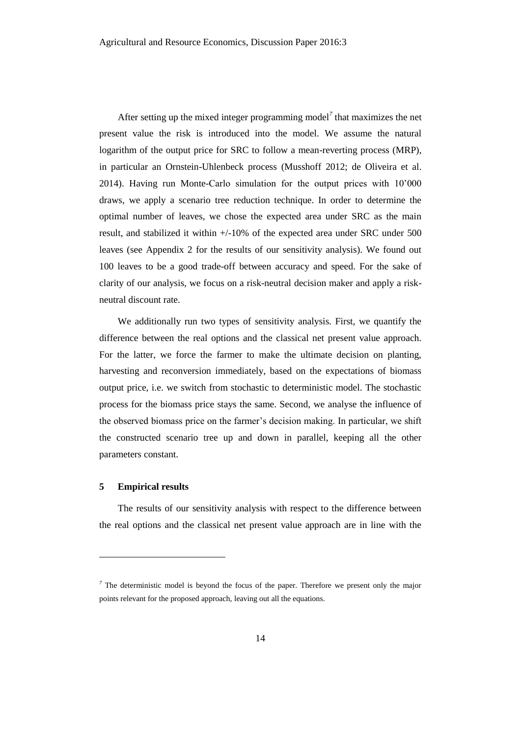After setting up the mixed integer programming model*<sup>7</sup>* that maximizes the net present value the risk is introduced into the model. We assume the natural logarithm of the output price for SRC to follow a mean-reverting process (MRP), in particular an Ornstein-Uhlenbeck process (Musshoff 2012; de Oliveira et al. 2014). Having run Monte-Carlo simulation for the output prices with 10'000 draws, we apply a scenario tree reduction technique. In order to determine the optimal number of leaves, we chose the expected area under SRC as the main result, and stabilized it within +/-10% of the expected area under SRC under 500 leaves (see Appendix 2 for the results of our sensitivity analysis). We found out 100 leaves to be a good trade-off between accuracy and speed. For the sake of clarity of our analysis, we focus on a risk-neutral decision maker and apply a riskneutral discount rate.

We additionally run two types of sensitivity analysis. First, we quantify the difference between the real options and the classical net present value approach. For the latter, we force the farmer to make the ultimate decision on planting, harvesting and reconversion immediately, based on the expectations of biomass output price, i.e. we switch from stochastic to deterministic model. The stochastic process for the biomass price stays the same. Second, we analyse the influence of the observed biomass price on the farmer's decision making. In particular, we shift the constructed scenario tree up and down in parallel, keeping all the other parameters constant.

#### **5 Empirical results**

l

The results of our sensitivity analysis with respect to the difference between the real options and the classical net present value approach are in line with the

<sup>&</sup>lt;sup>7</sup> The deterministic model is beyond the focus of the paper. Therefore we present only the major points relevant for the proposed approach, leaving out all the equations.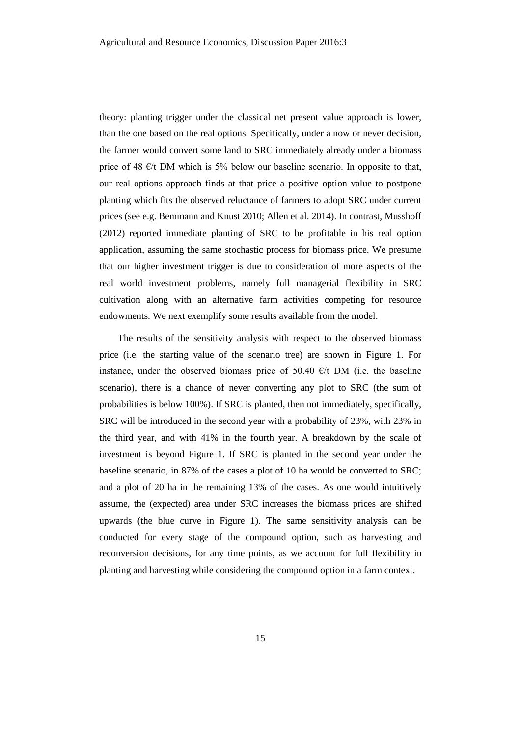theory: planting trigger under the classical net present value approach is lower, than the one based on the real options. Specifically, under a now or never decision, the farmer would convert some land to SRC immediately already under a biomass price of 48  $\epsilon$ /t DM which is 5% below our baseline scenario. In opposite to that, our real options approach finds at that price a positive option value to postpone planting which fits the observed reluctance of farmers to adopt SRC under current prices (see e.g. Bemmann and Knust 2010; Allen et al. 2014). In contrast, Musshoff (2012) reported immediate planting of SRC to be profitable in his real option application, assuming the same stochastic process for biomass price. We presume that our higher investment trigger is due to consideration of more aspects of the real world investment problems, namely full managerial flexibility in SRC cultivation along with an alternative farm activities competing for resource endowments. We next exemplify some results available from the model.

The results of the sensitivity analysis with respect to the observed biomass price (i.e. the starting value of the scenario tree) are shown in Figure 1. For instance, under the observed biomass price of 50.40  $\epsilon$ /t DM (i.e. the baseline scenario), there is a chance of never converting any plot to SRC (the sum of probabilities is below 100%). If SRC is planted, then not immediately, specifically, SRC will be introduced in the second year with a probability of 23%, with 23% in the third year, and with 41% in the fourth year. A breakdown by the scale of investment is beyond Figure 1. If SRC is planted in the second year under the baseline scenario, in 87% of the cases a plot of 10 ha would be converted to SRC; and a plot of 20 ha in the remaining 13% of the cases. As one would intuitively assume, the (expected) area under SRC increases the biomass prices are shifted upwards (the blue curve in Figure 1). The same sensitivity analysis can be conducted for every stage of the compound option, such as harvesting and reconversion decisions, for any time points, as we account for full flexibility in planting and harvesting while considering the compound option in a farm context.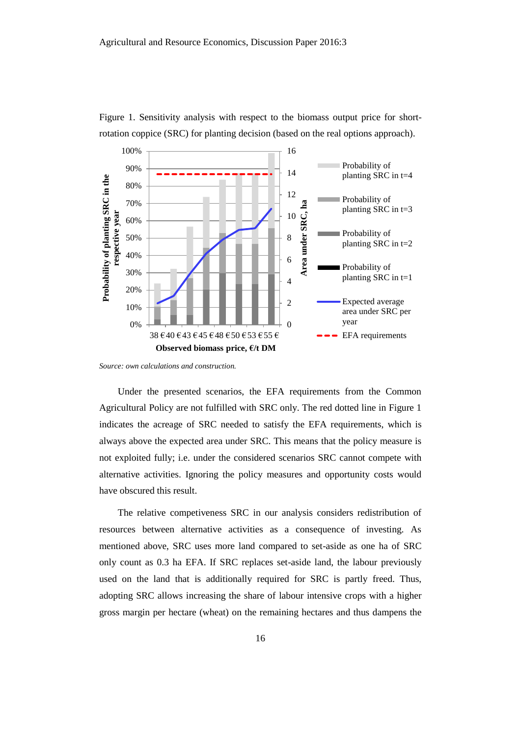

Figure 1. Sensitivity analysis with respect to the biomass output price for shortrotation coppice (SRC) for planting decision (based on the real options approach).

*Source: own calculations and construction.*

Under the presented scenarios, the EFA requirements from the Common Agricultural Policy are not fulfilled with SRC only. The red dotted line in Figure 1 indicates the acreage of SRC needed to satisfy the EFA requirements, which is always above the expected area under SRC. This means that the policy measure is not exploited fully; i.e. under the considered scenarios SRC cannot compete with alternative activities. Ignoring the policy measures and opportunity costs would have obscured this result.

The relative competiveness SRC in our analysis considers redistribution of resources between alternative activities as a consequence of investing. As mentioned above, SRC uses more land compared to set-aside as one ha of SRC only count as 0.3 ha EFA. If SRC replaces set-aside land, the labour previously used on the land that is additionally required for SRC is partly freed. Thus, adopting SRC allows increasing the share of labour intensive crops with a higher gross margin per hectare (wheat) on the remaining hectares and thus dampens the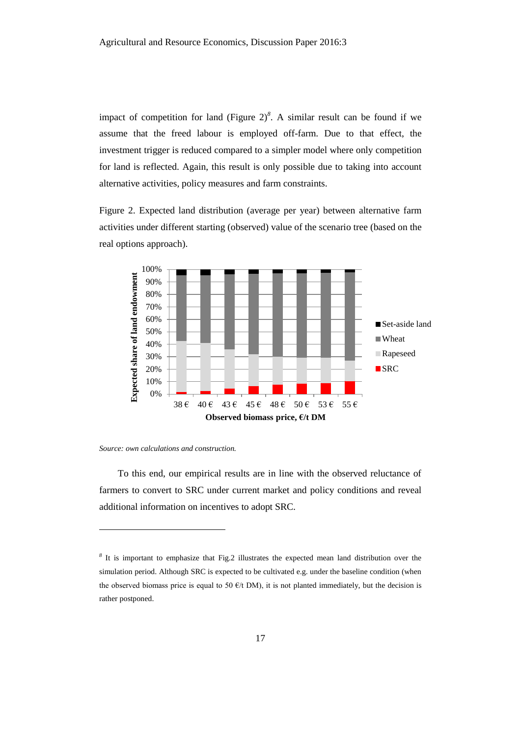impact of competition for land (Figure  $2)^8$ . A similar result can be found if we assume that the freed labour is employed off-farm. Due to that effect, the investment trigger is reduced compared to a simpler model where only competition for land is reflected. Again, this result is only possible due to taking into account alternative activities, policy measures and farm constraints.

Figure 2. Expected land distribution (average per year) between alternative farm activities under different starting (observed) value of the scenario tree (based on the real options approach).



*Source: own calculations and construction.*

l

To this end, our empirical results are in line with the observed reluctance of farmers to convert to SRC under current market and policy conditions and reveal additional information on incentives to adopt SRC.

<sup>&</sup>lt;sup>8</sup> It is important to emphasize that Fig.2 illustrates the expected mean land distribution over the simulation period. Although SRC is expected to be cultivated e.g. under the baseline condition (when the observed biomass price is equal to 50  $\epsilon$ /t DM), it is not planted immediately, but the decision is rather postponed.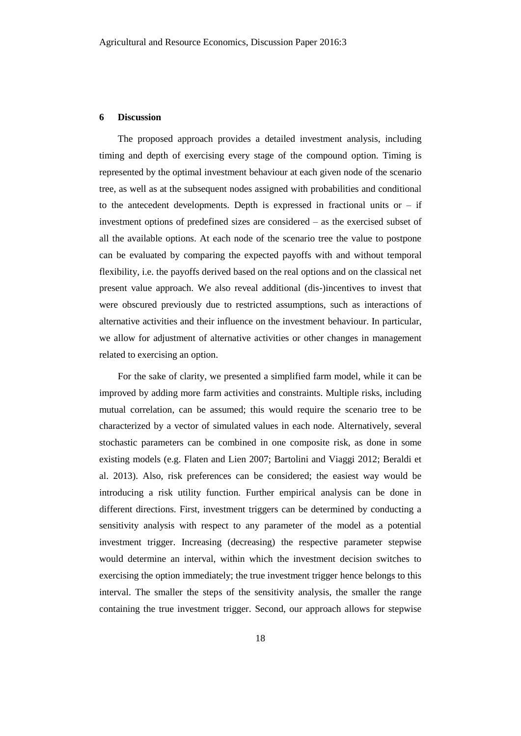#### **6 Discussion**

The proposed approach provides a detailed investment analysis, including timing and depth of exercising every stage of the compound option. Timing is represented by the optimal investment behaviour at each given node of the scenario tree, as well as at the subsequent nodes assigned with probabilities and conditional to the antecedent developments. Depth is expressed in fractional units or  $-$  if investment options of predefined sizes are considered – as the exercised subset of all the available options. At each node of the scenario tree the value to postpone can be evaluated by comparing the expected payoffs with and without temporal flexibility, i.e. the payoffs derived based on the real options and on the classical net present value approach. We also reveal additional (dis-)incentives to invest that were obscured previously due to restricted assumptions, such as interactions of alternative activities and their influence on the investment behaviour. In particular, we allow for adjustment of alternative activities or other changes in management related to exercising an option.

For the sake of clarity, we presented a simplified farm model, while it can be improved by adding more farm activities and constraints. Multiple risks, including mutual correlation, can be assumed; this would require the scenario tree to be characterized by a vector of simulated values in each node. Alternatively, several stochastic parameters can be combined in one composite risk, as done in some existing models (e.g. Flaten and Lien 2007; Bartolini and Viaggi 2012; Beraldi et al. 2013). Also, risk preferences can be considered; the easiest way would be introducing a risk utility function. Further empirical analysis can be done in different directions. First, investment triggers can be determined by conducting a sensitivity analysis with respect to any parameter of the model as a potential investment trigger. Increasing (decreasing) the respective parameter stepwise would determine an interval, within which the investment decision switches to exercising the option immediately; the true investment trigger hence belongs to this interval. The smaller the steps of the sensitivity analysis, the smaller the range containing the true investment trigger. Second, our approach allows for stepwise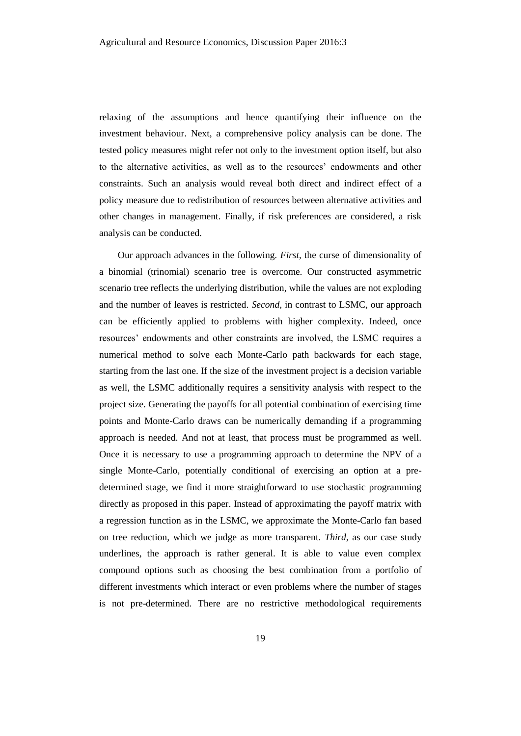relaxing of the assumptions and hence quantifying their influence on the investment behaviour. Next, a comprehensive policy analysis can be done. The tested policy measures might refer not only to the investment option itself, but also to the alternative activities, as well as to the resources' endowments and other constraints. Such an analysis would reveal both direct and indirect effect of a policy measure due to redistribution of resources between alternative activities and other changes in management. Finally, if risk preferences are considered, a risk analysis can be conducted.

Our approach advances in the following. *First*, the curse of dimensionality of a binomial (trinomial) scenario tree is overcome. Our constructed asymmetric scenario tree reflects the underlying distribution, while the values are not exploding and the number of leaves is restricted. *Second*, in contrast to LSMC, our approach can be efficiently applied to problems with higher complexity. Indeed, once resources' endowments and other constraints are involved, the LSMC requires a numerical method to solve each Monte-Carlo path backwards for each stage, starting from the last one. If the size of the investment project is a decision variable as well, the LSMC additionally requires a sensitivity analysis with respect to the project size. Generating the payoffs for all potential combination of exercising time points and Monte-Carlo draws can be numerically demanding if a programming approach is needed. And not at least, that process must be programmed as well. Once it is necessary to use a programming approach to determine the NPV of a single Monte-Carlo, potentially conditional of exercising an option at a predetermined stage, we find it more straightforward to use stochastic programming directly as proposed in this paper. Instead of approximating the payoff matrix with a regression function as in the LSMC, we approximate the Monte-Carlo fan based on tree reduction, which we judge as more transparent. *Third*, as our case study underlines, the approach is rather general. It is able to value even complex compound options such as choosing the best combination from a portfolio of different investments which interact or even problems where the number of stages is not pre-determined. There are no restrictive methodological requirements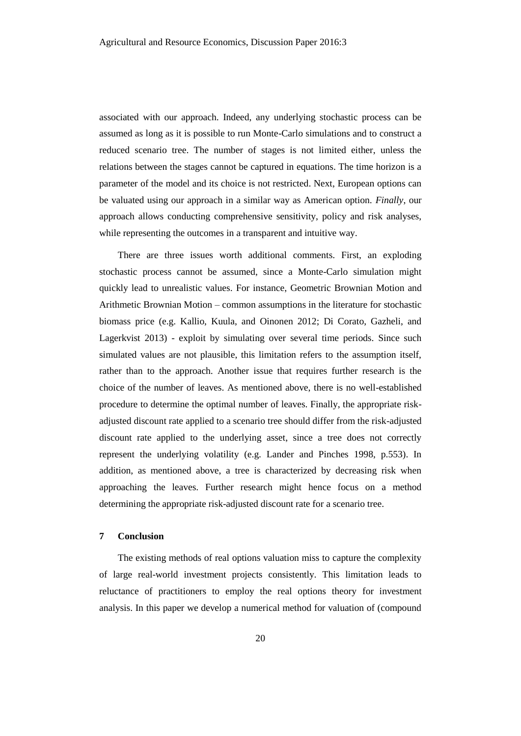associated with our approach. Indeed, any underlying stochastic process can be assumed as long as it is possible to run Monte-Carlo simulations and to construct a reduced scenario tree. The number of stages is not limited either, unless the relations between the stages cannot be captured in equations. The time horizon is a parameter of the model and its choice is not restricted. Next, European options can be valuated using our approach in a similar way as American option. *Finally*, our approach allows conducting comprehensive sensitivity, policy and risk analyses, while representing the outcomes in a transparent and intuitive way.

There are three issues worth additional comments. First, an exploding stochastic process cannot be assumed, since a Monte-Carlo simulation might quickly lead to unrealistic values. For instance, Geometric Brownian Motion and Arithmetic Brownian Motion – common assumptions in the literature for stochastic biomass price (e.g. Kallio, Kuula, and Oinonen 2012; Di Corato, Gazheli, and Lagerkvist 2013) - exploit by simulating over several time periods. Since such simulated values are not plausible, this limitation refers to the assumption itself, rather than to the approach. Another issue that requires further research is the choice of the number of leaves. As mentioned above, there is no well-established procedure to determine the optimal number of leaves. Finally, the appropriate riskadjusted discount rate applied to a scenario tree should differ from the risk-adjusted discount rate applied to the underlying asset, since a tree does not correctly represent the underlying volatility (e.g. Lander and Pinches 1998, p.553). In addition, as mentioned above, a tree is characterized by decreasing risk when approaching the leaves. Further research might hence focus on a method determining the appropriate risk-adjusted discount rate for a scenario tree.

#### **7 Conclusion**

The existing methods of real options valuation miss to capture the complexity of large real-world investment projects consistently. This limitation leads to reluctance of practitioners to employ the real options theory for investment analysis. In this paper we develop a numerical method for valuation of (compound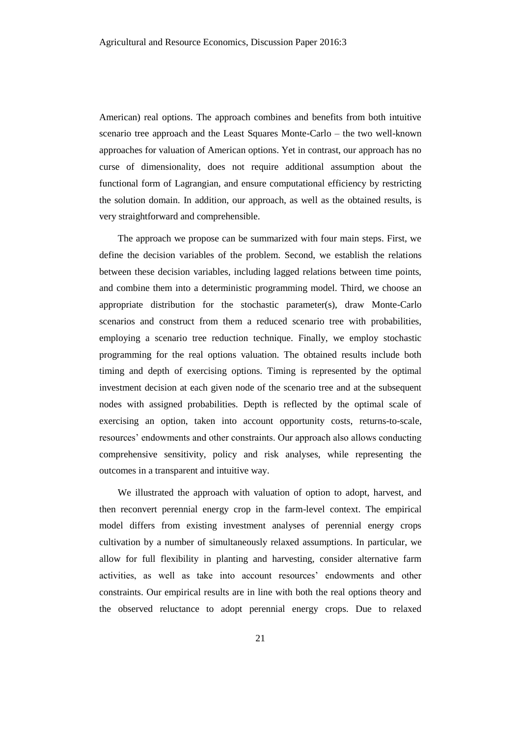American) real options. The approach combines and benefits from both intuitive scenario tree approach and the Least Squares Monte-Carlo – the two well-known approaches for valuation of American options. Yet in contrast, our approach has no curse of dimensionality, does not require additional assumption about the functional form of Lagrangian, and ensure computational efficiency by restricting the solution domain. In addition, our approach, as well as the obtained results, is very straightforward and comprehensible.

The approach we propose can be summarized with four main steps. First, we define the decision variables of the problem. Second, we establish the relations between these decision variables, including lagged relations between time points, and combine them into a deterministic programming model. Third, we choose an appropriate distribution for the stochastic parameter(s), draw Monte-Carlo scenarios and construct from them a reduced scenario tree with probabilities, employing a scenario tree reduction technique. Finally, we employ stochastic programming for the real options valuation. The obtained results include both timing and depth of exercising options. Timing is represented by the optimal investment decision at each given node of the scenario tree and at the subsequent nodes with assigned probabilities. Depth is reflected by the optimal scale of exercising an option, taken into account opportunity costs, returns-to-scale, resources' endowments and other constraints. Our approach also allows conducting comprehensive sensitivity, policy and risk analyses, while representing the outcomes in a transparent and intuitive way.

We illustrated the approach with valuation of option to adopt, harvest, and then reconvert perennial energy crop in the farm-level context. The empirical model differs from existing investment analyses of perennial energy crops cultivation by a number of simultaneously relaxed assumptions. In particular, we allow for full flexibility in planting and harvesting, consider alternative farm activities, as well as take into account resources' endowments and other constraints. Our empirical results are in line with both the real options theory and the observed reluctance to adopt perennial energy crops. Due to relaxed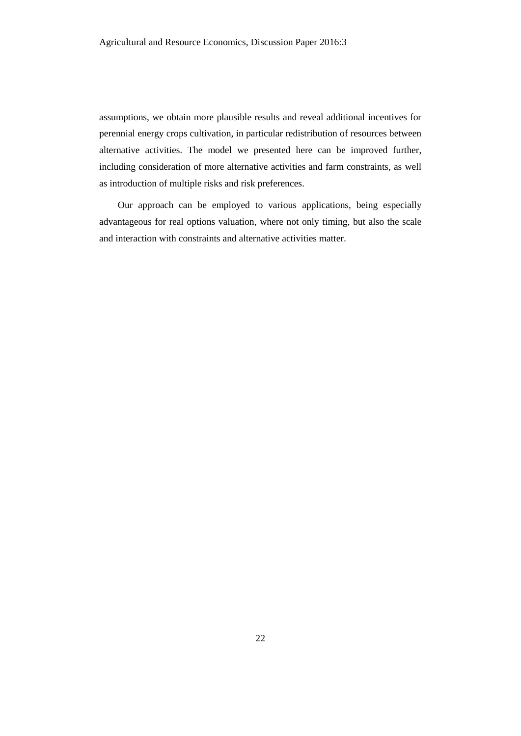assumptions, we obtain more plausible results and reveal additional incentives for perennial energy crops cultivation, in particular redistribution of resources between alternative activities. The model we presented here can be improved further, including consideration of more alternative activities and farm constraints, as well as introduction of multiple risks and risk preferences.

Our approach can be employed to various applications, being especially advantageous for real options valuation, where not only timing, but also the scale and interaction with constraints and alternative activities matter.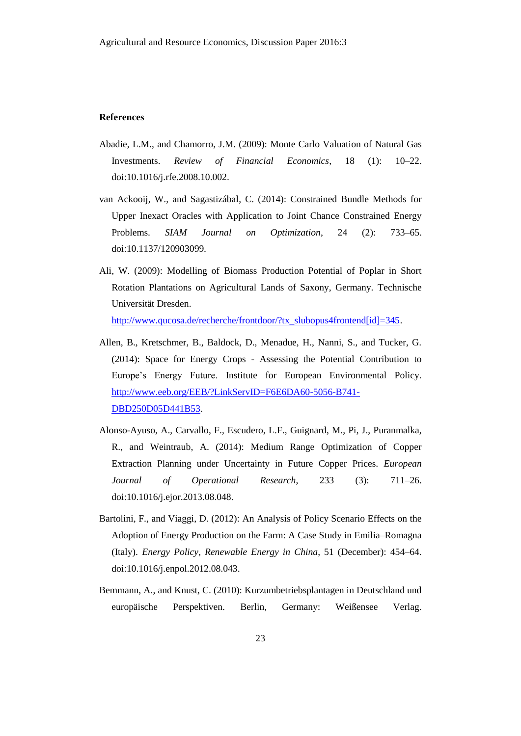#### **References**

- Abadie, L.M., and Chamorro, J.M. (2009): Monte Carlo Valuation of Natural Gas Investments. *Review of Financial Economics,* 18 (1): 10–22. doi:10.1016/j.rfe.2008.10.002.
- van Ackooij, W., and Sagastizábal, C. (2014): Constrained Bundle Methods for Upper Inexact Oracles with Application to Joint Chance Constrained Energy Problems. *SIAM Journal on Optimization*, 24 (2): 733–65. doi:10.1137/120903099.
- Ali, W. (2009): Modelling of Biomass Production Potential of Poplar in Short Rotation Plantations on Agricultural Lands of Saxony, Germany. Technische Universität Dresden.

[http://www.qucosa.de/recherche/frontdoor/?tx\\_slubopus4frontend\[id\]=345.](http://www.qucosa.de/recherche/frontdoor/?tx_slubopus4frontend%5bid%5d=345)

- Allen, B., Kretschmer, B., Baldock, D., Menadue, H., Nanni, S., and Tucker, G. (2014): Space for Energy Crops - Assessing the Potential Contribution to Europe's Energy Future. Institute for European Environmental Policy. [http://www.eeb.org/EEB/?LinkServID=F6E6DA60-5056-B741-](http://www.eeb.org/EEB/?LinkServID=F6E6DA60-5056-B741-DBD250D05D441B53) [DBD250D05D441B53.](http://www.eeb.org/EEB/?LinkServID=F6E6DA60-5056-B741-DBD250D05D441B53)
- Alonso-Ayuso, A., Carvallo, F., Escudero, L.F., Guignard, M., Pi, J., Puranmalka, R., and Weintraub, A. (2014): Medium Range Optimization of Copper Extraction Planning under Uncertainty in Future Copper Prices. *European Journal of Operational Research*, 233 (3): 711–26. doi:10.1016/j.ejor.2013.08.048.
- Bartolini, F., and Viaggi, D. (2012): An Analysis of Policy Scenario Effects on the Adoption of Energy Production on the Farm: A Case Study in Emilia–Romagna (Italy). *Energy Policy, Renewable Energy in China*, 51 (December): 454–64. doi:10.1016/j.enpol.2012.08.043.
- Bemmann, A., and Knust, C. (2010): Kurzumbetriebsplantagen in Deutschland und europäische Perspektiven. Berlin, Germany: Weißensee Verlag.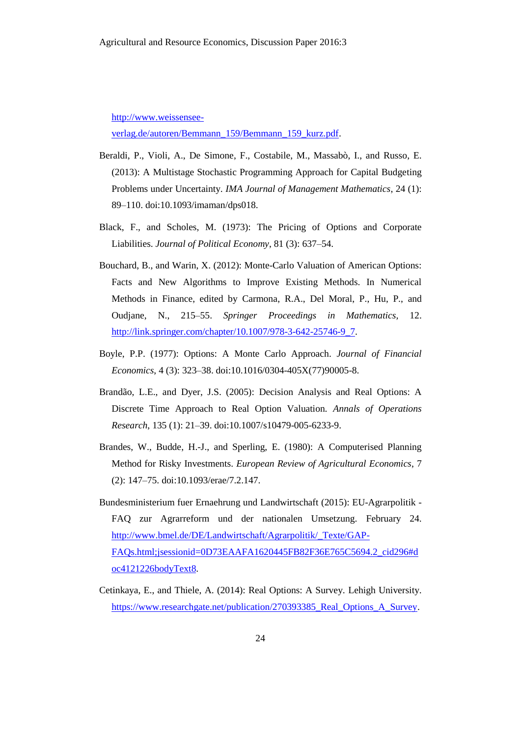[http://www.weissensee-](http://www.weissensee-verlag.de/autoren/Bemmann_159/Bemmann_159_kurz.pdf)

[verlag.de/autoren/Bemmann\\_159/Bemmann\\_159\\_kurz.pdf.](http://www.weissensee-verlag.de/autoren/Bemmann_159/Bemmann_159_kurz.pdf)

- Beraldi, P., Violi, A., De Simone, F., Costabile, M., Massabò, I., and Russo, E. (2013): A Multistage Stochastic Programming Approach for Capital Budgeting Problems under Uncertainty. *IMA Journal of Management Mathematics*, 24 (1): 89–110. doi:10.1093/imaman/dps018.
- Black, F., and Scholes, M. (1973): The Pricing of Options and Corporate Liabilities. *Journal of Political Economy*, 81 (3): 637–54.
- Bouchard, B., and Warin, X. (2012): Monte-Carlo Valuation of American Options: Facts and New Algorithms to Improve Existing Methods. In Numerical Methods in Finance, edited by Carmona, R.A., Del Moral, P., Hu, P., and Oudjane, N., 215–55. *Springer Proceedings in Mathematics,* 12. [http://link.springer.com/chapter/10.1007/978-3-642-25746-9\\_7.](http://link.springer.com/chapter/10.1007/978-3-642-25746-9_7)
- Boyle, P.P. (1977): Options: A Monte Carlo Approach. *Journal of Financial Economics*, 4 (3): 323–38. doi:10.1016/0304-405X(77)90005-8.
- Brandão, L.E., and Dyer, J.S. (2005): Decision Analysis and Real Options: A Discrete Time Approach to Real Option Valuation. *Annals of Operations Research*, 135 (1): 21–39. doi:10.1007/s10479-005-6233-9.
- Brandes, W., Budde, H.-J., and Sperling, E. (1980): A Computerised Planning Method for Risky Investments. *European Review of Agricultural Economics*, 7 (2): 147–75. doi:10.1093/erae/7.2.147.
- Bundesministerium fuer Ernaehrung und Landwirtschaft (2015): EU-Agrarpolitik FAQ zur Agrarreform und der nationalen Umsetzung. February 24. [http://www.bmel.de/DE/Landwirtschaft/Agrarpolitik/\\_Texte/GAP-](http://www.bmel.de/DE/Landwirtschaft/Agrarpolitik/_Texte/GAP-FAQs.html;jsessionid=0D73EAAFA1620445FB82F36E765C5694.2_cid296#doc4121226bodyText8)[FAQs.html;jsessionid=0D73EAAFA1620445FB82F36E765C5694.2\\_cid296#d](http://www.bmel.de/DE/Landwirtschaft/Agrarpolitik/_Texte/GAP-FAQs.html;jsessionid=0D73EAAFA1620445FB82F36E765C5694.2_cid296#doc4121226bodyText8) [oc4121226bodyText8.](http://www.bmel.de/DE/Landwirtschaft/Agrarpolitik/_Texte/GAP-FAQs.html;jsessionid=0D73EAAFA1620445FB82F36E765C5694.2_cid296#doc4121226bodyText8)
- Cetinkaya, E., and Thiele, A. (2014): Real Options: A Survey. Lehigh University. [https://www.researchgate.net/publication/270393385\\_Real\\_Options\\_A\\_Survey.](https://www.researchgate.net/publication/270393385_Real_Options_A_Survey)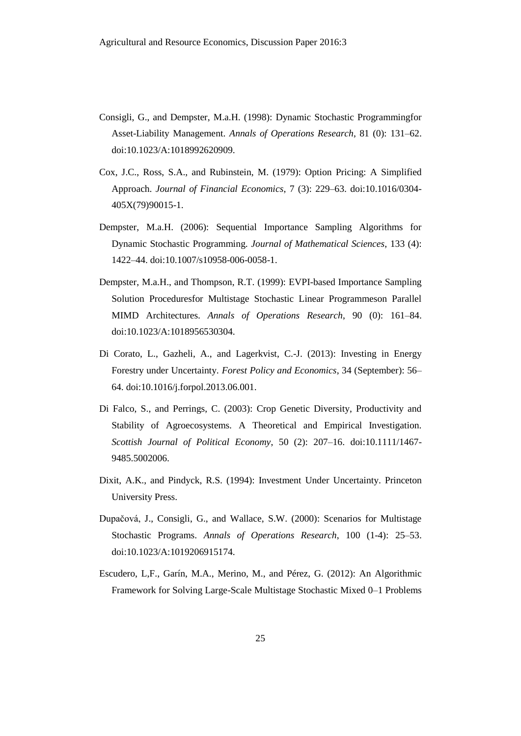- Consigli, G., and Dempster, M.a.H. (1998): Dynamic Stochastic Programmingfor Asset-Liability Management. *Annals of Operations Research*, 81 (0): 131–62. doi:10.1023/A:1018992620909.
- Cox, J.C., Ross, S.A., and Rubinstein, M. (1979): Option Pricing: A Simplified Approach. *Journal of Financial Economics*, 7 (3): 229–63. doi:10.1016/0304- 405X(79)90015-1.
- Dempster, M.a.H. (2006): Sequential Importance Sampling Algorithms for Dynamic Stochastic Programming. *Journal of Mathematical Sciences*, 133 (4): 1422–44. doi:10.1007/s10958-006-0058-1.
- Dempster, M.a.H., and Thompson, R.T. (1999): EVPI-based Importance Sampling Solution Proceduresfor Multistage Stochastic Linear Programmeson Parallel MIMD Architectures. *Annals of Operations Research*, 90 (0): 161–84. doi:10.1023/A:1018956530304.
- Di Corato, L., Gazheli, A., and Lagerkvist, C.-J. (2013): Investing in Energy Forestry under Uncertainty. *Forest Policy and Economics*, 34 (September): 56– 64. doi:10.1016/j.forpol.2013.06.001.
- Di Falco, S., and Perrings, C. (2003): Crop Genetic Diversity, Productivity and Stability of Agroecosystems. A Theoretical and Empirical Investigation. *Scottish Journal of Political Economy*, 50 (2): 207–16. doi:10.1111/1467- 9485.5002006.
- Dixit, A.K., and Pindyck, R.S. (1994): Investment Under Uncertainty. Princeton University Press.
- Dupačová, J., Consigli, G., and Wallace, S.W. (2000): Scenarios for Multistage Stochastic Programs. *Annals of Operations Research*, 100 (1-4): 25–53. doi:10.1023/A:1019206915174.
- Escudero, L,F., Garín, M.A., Merino, M., and Pérez, G. (2012): An Algorithmic Framework for Solving Large-Scale Multistage Stochastic Mixed 0–1 Problems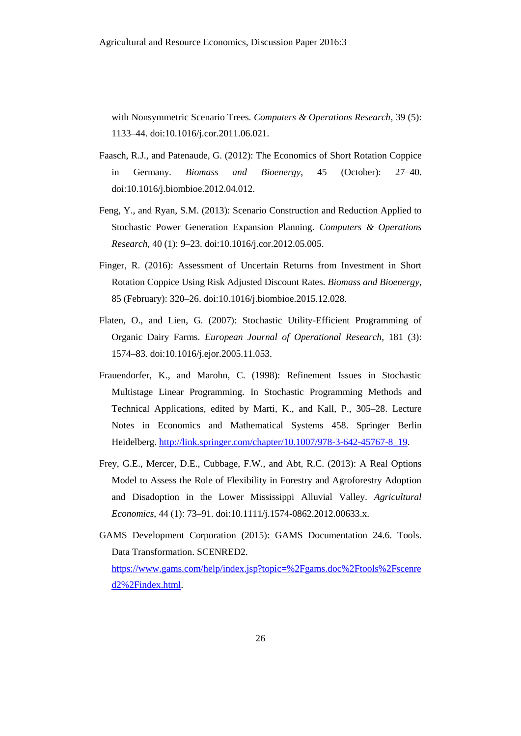with Nonsymmetric Scenario Trees. *Computers & Operations Research*, 39 (5): 1133–44. doi:10.1016/j.cor.2011.06.021.

- Faasch, R.J., and Patenaude, G. (2012): The Economics of Short Rotation Coppice in Germany. *Biomass and Bioenergy*, 45 (October): 27–40. doi:10.1016/j.biombioe.2012.04.012.
- Feng, Y., and Ryan, S.M. (2013): Scenario Construction and Reduction Applied to Stochastic Power Generation Expansion Planning. *Computers & Operations Research*, 40 (1): 9–23. doi:10.1016/j.cor.2012.05.005.
- Finger, R. (2016): Assessment of Uncertain Returns from Investment in Short Rotation Coppice Using Risk Adjusted Discount Rates. *Biomass and Bioenergy*, 85 (February): 320–26. doi:10.1016/j.biombioe.2015.12.028.
- Flaten, O., and Lien, G. (2007): Stochastic Utility-Efficient Programming of Organic Dairy Farms. *European Journal of Operational Research*, 181 (3): 1574–83. doi:10.1016/j.ejor.2005.11.053.
- Frauendorfer, K., and Marohn, C. (1998): Refinement Issues in Stochastic Multistage Linear Programming. In Stochastic Programming Methods and Technical Applications, edited by Marti, K., and Kall, P., 305–28. Lecture Notes in Economics and Mathematical Systems 458. Springer Berlin Heidelberg. [http://link.springer.com/chapter/10.1007/978-3-642-45767-8\\_19.](http://link.springer.com/chapter/10.1007/978-3-642-45767-8_19)
- Frey, G.E., Mercer, D.E., Cubbage, F.W., and Abt, R.C. (2013): A Real Options Model to Assess the Role of Flexibility in Forestry and Agroforestry Adoption and Disadoption in the Lower Mississippi Alluvial Valley. *Agricultural Economics*, 44 (1): 73–91. doi:10.1111/j.1574-0862.2012.00633.x.
- GAMS Development Corporation (2015): GAMS Documentation 24.6. Tools. Data Transformation. SCENRED2. [https://www.gams.com/help/index.jsp?topic=%2Fgams.doc%2Ftools%2Fscenre](https://www.gams.com/help/index.jsp?topic=%2Fgams.doc%2Ftools%2Fscenred2%2Findex.html) [d2%2Findex.html.](https://www.gams.com/help/index.jsp?topic=%2Fgams.doc%2Ftools%2Fscenred2%2Findex.html)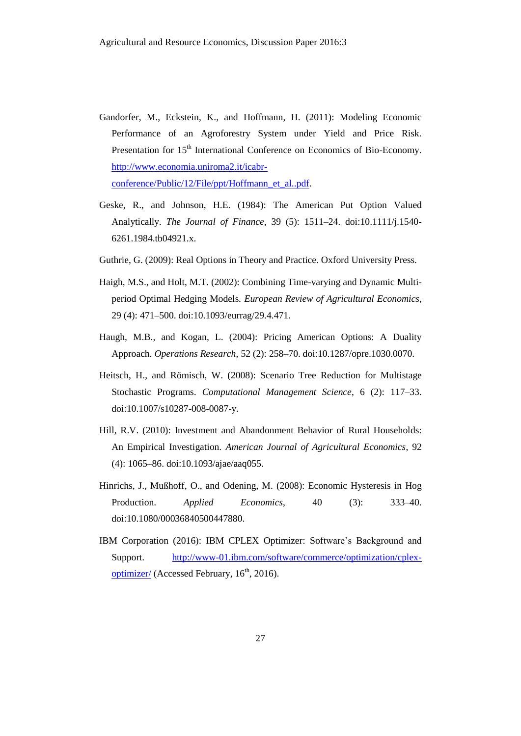- Gandorfer, M., Eckstein, K., and Hoffmann, H. (2011): Modeling Economic Performance of an Agroforestry System under Yield and Price Risk. Presentation for 15<sup>th</sup> International Conference on Economics of Bio-Economy. [http://www.economia.uniroma2.it/icabr](http://www.economia.uniroma2.it/icabr-conference/Public/12/File/ppt/Hoffmann_et_al..pdf)[conference/Public/12/File/ppt/Hoffmann\\_et\\_al..pdf.](http://www.economia.uniroma2.it/icabr-conference/Public/12/File/ppt/Hoffmann_et_al..pdf)
- Geske, R., and Johnson, H.E. (1984): The American Put Option Valued Analytically. *The Journal of Finance*, 39 (5): 1511–24. doi:10.1111/j.1540- 6261.1984.tb04921.x.
- Guthrie, G. (2009): Real Options in Theory and Practice. Oxford University Press.
- Haigh, M.S., and Holt, M.T. (2002): Combining Time-varying and Dynamic Multiperiod Optimal Hedging Models. *European Review of Agricultural Economics*, 29 (4): 471–500. doi:10.1093/eurrag/29.4.471.
- Haugh, M.B., and Kogan, L. (2004): Pricing American Options: A Duality Approach. *Operations Research*, 52 (2): 258–70. doi:10.1287/opre.1030.0070.
- Heitsch, H., and Römisch, W. (2008): Scenario Tree Reduction for Multistage Stochastic Programs. *Computational Management Science*, 6 (2): 117–33. doi:10.1007/s10287-008-0087-y.
- Hill, R.V. (2010): Investment and Abandonment Behavior of Rural Households: An Empirical Investigation. *American Journal of Agricultural Economics*, 92 (4): 1065–86. doi:10.1093/ajae/aaq055.
- Hinrichs, J., Mußhoff, O., and Odening, M. (2008): Economic Hysteresis in Hog Production. *Applied Economics*, 40 (3): 333–40. doi:10.1080/00036840500447880.
- IBM Corporation (2016): IBM CPLEX Optimizer: Software's Background and Support. [http://www-01.ibm.com/software/commerce/optimization/cplex](http://www-01.ibm.com/software/commerce/optimization/cplex-optimizer/)[optimizer/](http://www-01.ibm.com/software/commerce/optimization/cplex-optimizer/) (Accessed February,  $16<sup>th</sup>$ , 2016).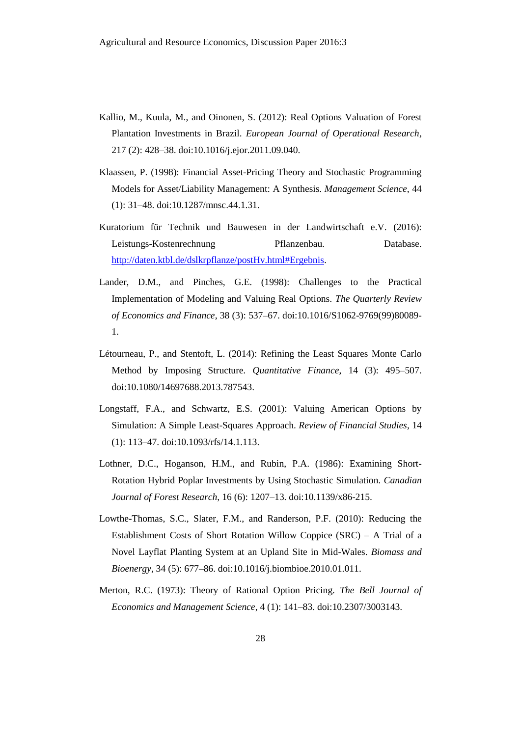- Kallio, M., Kuula, M., and Oinonen, S. (2012): Real Options Valuation of Forest Plantation Investments in Brazil. *European Journal of Operational Research*, 217 (2): 428–38. doi:10.1016/j.ejor.2011.09.040.
- Klaassen, P. (1998): Financial Asset-Pricing Theory and Stochastic Programming Models for Asset/Liability Management: A Synthesis. *Management Science*, 44 (1): 31–48. doi:10.1287/mnsc.44.1.31.
- Kuratorium für Technik und Bauwesen in der Landwirtschaft e.V. (2016): Leistungs-Kostenrechnung Pflanzenbau. Database. [http://daten.ktbl.de/dslkrpflanze/postHv.html#Ergebnis.](http://daten.ktbl.de/dslkrpflanze/postHv.html#Ergebnis)
- Lander, D.M., and Pinches, G.E. (1998): Challenges to the Practical Implementation of Modeling and Valuing Real Options. *The Quarterly Review of Economics and Finance*, 38 (3): 537–67. doi:10.1016/S1062-9769(99)80089- 1.
- Létourneau, P., and Stentoft, L. (2014): Refining the Least Squares Monte Carlo Method by Imposing Structure. *Quantitative Finance*, 14 (3): 495–507. doi:10.1080/14697688.2013.787543.
- Longstaff, F.A., and Schwartz, E.S. (2001): Valuing American Options by Simulation: A Simple Least-Squares Approach. *Review of Financial Studies*, 14 (1): 113–47. doi:10.1093/rfs/14.1.113.
- Lothner, D.C., Hoganson, H.M., and Rubin, P.A. (1986): Examining Short-Rotation Hybrid Poplar Investments by Using Stochastic Simulation. *Canadian Journal of Forest Research*, 16 (6): 1207–13. doi:10.1139/x86-215.
- Lowthe-Thomas, S.C., Slater, F.M., and Randerson, P.F. (2010): Reducing the Establishment Costs of Short Rotation Willow Coppice (SRC) – A Trial of a Novel Layflat Planting System at an Upland Site in Mid-Wales. *Biomass and Bioenergy*, 34 (5): 677–86. doi:10.1016/j.biombioe.2010.01.011.
- Merton, R.C. (1973): Theory of Rational Option Pricing. *The Bell Journal of Economics and Management Science*, 4 (1): 141–83. doi:10.2307/3003143.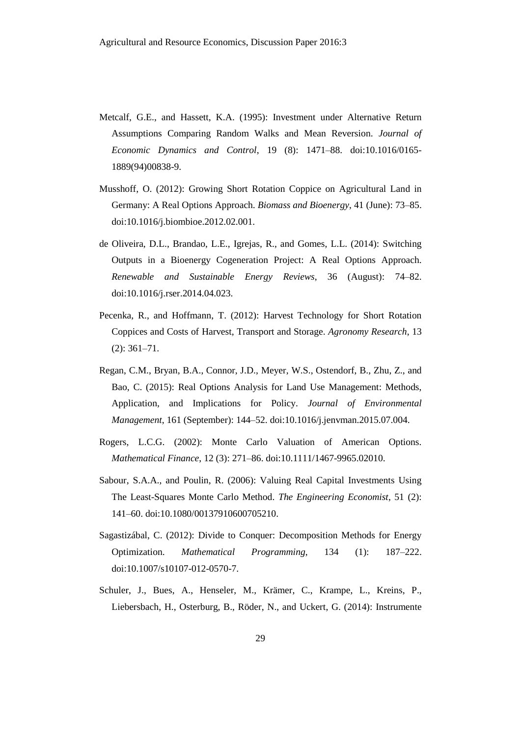- Metcalf, G.E., and Hassett, K.A. (1995): Investment under Alternative Return Assumptions Comparing Random Walks and Mean Reversion. *Journal of Economic Dynamics and Control*, 19 (8): 1471–88. doi:10.1016/0165- 1889(94)00838-9.
- Musshoff, O. (2012): Growing Short Rotation Coppice on Agricultural Land in Germany: A Real Options Approach. *Biomass and Bioenergy*, 41 (June): 73–85. doi:10.1016/j.biombioe.2012.02.001.
- de Oliveira, D.L., Brandao, L.E., Igrejas, R., and Gomes, L.L. (2014): Switching Outputs in a Bioenergy Cogeneration Project: A Real Options Approach. *Renewable and Sustainable Energy Reviews*, 36 (August): 74–82. doi:10.1016/j.rser.2014.04.023.
- Pecenka, R., and Hoffmann, T. (2012): Harvest Technology for Short Rotation Coppices and Costs of Harvest, Transport and Storage. *Agronomy Research*, 13 (2): 361–71.
- Regan, C.M., Bryan, B.A., Connor, J.D., Meyer, W.S., Ostendorf, B., Zhu, Z., and Bao, C. (2015): Real Options Analysis for Land Use Management: Methods, Application, and Implications for Policy. *Journal of Environmental Management*, 161 (September): 144–52. doi:10.1016/j.jenvman.2015.07.004.
- Rogers, L.C.G. (2002): Monte Carlo Valuation of American Options. *Mathematical Finance*, 12 (3): 271–86. doi:10.1111/1467-9965.02010.
- Sabour, S.A.A., and Poulin, R. (2006): Valuing Real Capital Investments Using The Least-Squares Monte Carlo Method. *The Engineering Economist*, 51 (2): 141–60. doi:10.1080/00137910600705210.
- Sagastizábal, C. (2012): Divide to Conquer: Decomposition Methods for Energy Optimization. *Mathematical Programming*, 134 (1): 187–222. doi:10.1007/s10107-012-0570-7.
- Schuler, J., Bues, A., Henseler, M., Krämer, C., Krampe, L., Kreins, P., Liebersbach, H., Osterburg, B., Röder, N., and Uckert, G. (2014): Instrumente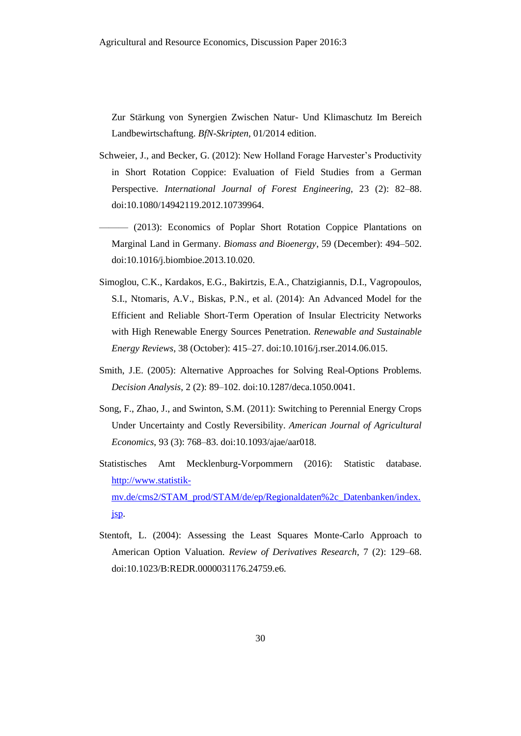Zur Stärkung von Synergien Zwischen Natur- Und Klimaschutz Im Bereich Landbewirtschaftung. *BfN-Skripten*, 01/2014 edition.

Schweier, J., and Becker, G. (2012): New Holland Forage Harvester's Productivity in Short Rotation Coppice: Evaluation of Field Studies from a German Perspective. *International Journal of Forest Engineering*, 23 (2): 82–88. doi:10.1080/14942119.2012.10739964.

——— (2013): Economics of Poplar Short Rotation Coppice Plantations on Marginal Land in Germany. *Biomass and Bioenergy*, 59 (December): 494–502. doi:10.1016/j.biombioe.2013.10.020.

- Simoglou, C.K., Kardakos, E.G., Bakirtzis, E.A., Chatzigiannis, D.I., Vagropoulos, S.I., Ntomaris, A.V., Biskas, P.N., et al. (2014): An Advanced Model for the Efficient and Reliable Short-Term Operation of Insular Electricity Networks with High Renewable Energy Sources Penetration. *Renewable and Sustainable Energy Reviews*, 38 (October): 415–27. doi:10.1016/j.rser.2014.06.015.
- Smith, J.E. (2005): Alternative Approaches for Solving Real-Options Problems. *Decision Analysis*, 2 (2): 89–102. doi:10.1287/deca.1050.0041.
- Song, F., Zhao, J., and Swinton, S.M. (2011): Switching to Perennial Energy Crops Under Uncertainty and Costly Reversibility. *American Journal of Agricultural Economics*, 93 (3): 768–83. doi:10.1093/ajae/aar018.
- Statistisches Amt Mecklenburg-Vorpommern (2016): Statistic database. [http://www.statistik](http://www.statistik-mv.de/cms2/STAM_prod/STAM/de/ep/Regionaldaten%2c_Datenbanken/index.jsp)[mv.de/cms2/STAM\\_prod/STAM/de/ep/Regionaldaten%2c\\_Datenbanken/index.](http://www.statistik-mv.de/cms2/STAM_prod/STAM/de/ep/Regionaldaten%2c_Datenbanken/index.jsp) [jsp.](http://www.statistik-mv.de/cms2/STAM_prod/STAM/de/ep/Regionaldaten%2c_Datenbanken/index.jsp)
- Stentoft, L. (2004): Assessing the Least Squares Monte-Carlo Approach to American Option Valuation. *Review of Derivatives Research*, 7 (2): 129–68. doi:10.1023/B:REDR.0000031176.24759.e6.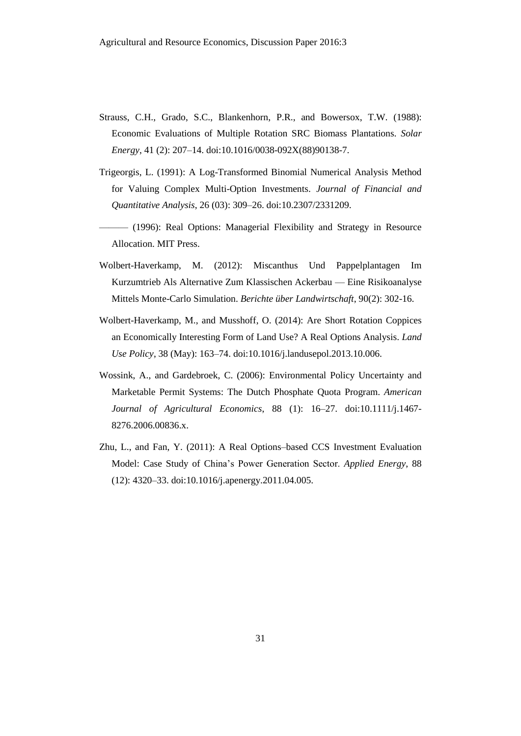- Strauss, C.H., Grado, S.C., Blankenhorn, P.R., and Bowersox, T.W. (1988): Economic Evaluations of Multiple Rotation SRC Biomass Plantations. *Solar Energy*, 41 (2): 207–14. doi:10.1016/0038-092X(88)90138-7.
- Trigeorgis, L. (1991): A Log-Transformed Binomial Numerical Analysis Method for Valuing Complex Multi-Option Investments. *Journal of Financial and Quantitative Analysis*, 26 (03): 309–26. doi:10.2307/2331209.
	- ——— (1996): Real Options: Managerial Flexibility and Strategy in Resource Allocation. MIT Press.
- Wolbert-Haverkamp, M. (2012): Miscanthus Und Pappelplantagen Im Kurzumtrieb Als Alternative Zum Klassischen Ackerbau — Eine Risikoanalyse Mittels Monte-Carlo Simulation. *Berichte über Landwirtschaft*, 90(2): 302-16.
- Wolbert-Haverkamp, M., and Musshoff, O. (2014): Are Short Rotation Coppices an Economically Interesting Form of Land Use? A Real Options Analysis. *Land Use Policy*, 38 (May): 163–74. doi:10.1016/j.landusepol.2013.10.006.
- Wossink, A., and Gardebroek, C. (2006): Environmental Policy Uncertainty and Marketable Permit Systems: The Dutch Phosphate Quota Program. *American Journal of Agricultural Economics*, 88 (1): 16–27. doi:10.1111/j.1467- 8276.2006.00836.x.
- Zhu, L., and Fan, Y. (2011): A Real Options–based CCS Investment Evaluation Model: Case Study of China's Power Generation Sector. *Applied Energy*, 88 (12): 4320–33. doi:10.1016/j.apenergy.2011.04.005.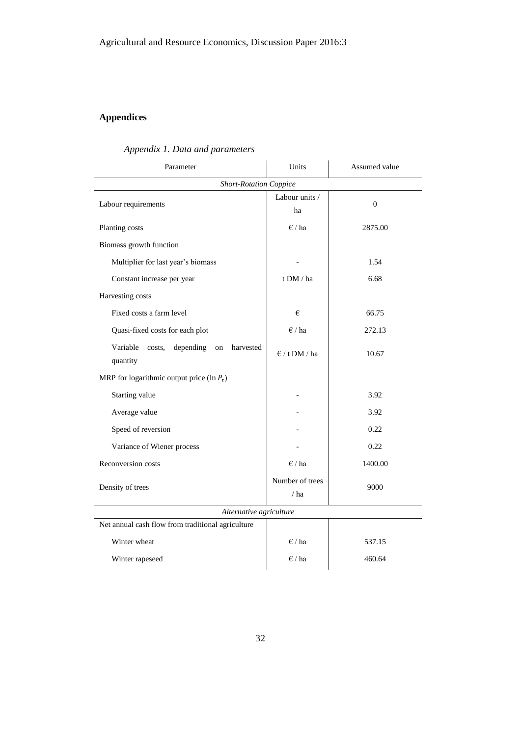## **Appendices**

| Parameter                                                      | Units                   | Assumed value |  |
|----------------------------------------------------------------|-------------------------|---------------|--|
| <b>Short-Rotation Coppice</b>                                  |                         |               |  |
| Labour requirements                                            | Labour units /<br>ha    | $\Omega$      |  |
| Planting costs                                                 | $\epsilon$ / ha         | 2875.00       |  |
| Biomass growth function                                        |                         |               |  |
| Multiplier for last year's biomass                             |                         | 1.54          |  |
| Constant increase per year                                     | t $DM/ha$               | 6.68          |  |
| Harvesting costs                                               |                         |               |  |
| Fixed costs a farm level                                       | €                       | 66.75         |  |
| Quasi-fixed costs for each plot                                | $\epsilon$ / ha         | 272.13        |  |
| Variable<br>depending<br>harvested<br>costs,<br>on<br>quantity | $\epsilon$ / t DM / ha  | 10.67         |  |
| MRP for logarithmic output price $(\ln P_t)$                   |                         |               |  |
| Starting value                                                 |                         | 3.92          |  |
| Average value                                                  |                         | 3.92          |  |
| Speed of reversion                                             |                         | 0.22          |  |
| Variance of Wiener process                                     |                         | 0.22          |  |
| Reconversion costs                                             | $\epsilon$ / ha         | 1400.00       |  |
| Density of trees                                               | Number of trees<br>/ ha | 9000          |  |
| Alternative agriculture                                        |                         |               |  |
| Net annual cash flow from traditional agriculture              |                         |               |  |
| Winter wheat                                                   | $\epsilon$ / ha         | 537.15        |  |
| Winter rapeseed                                                | $\epsilon$ / ha         | 460.64        |  |

### *Appendix 1. Data and parameters*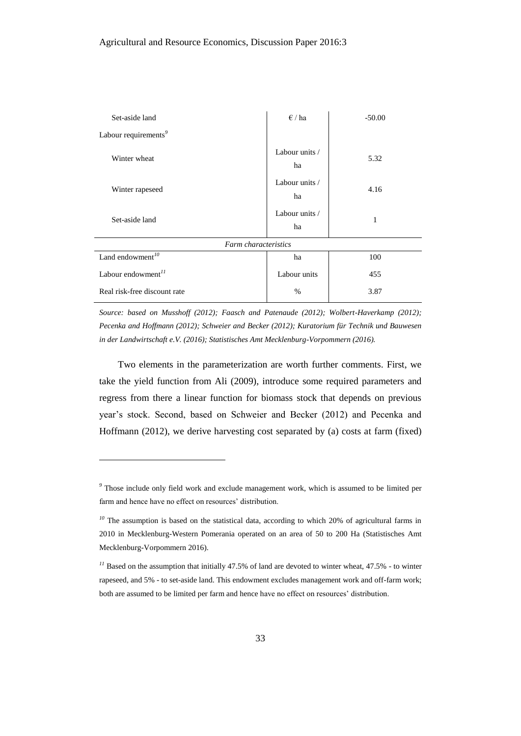| Set-aside land                            | $\epsilon$ / ha      | $-50.00$ |  |
|-------------------------------------------|----------------------|----------|--|
| Labour requirements <sup>9</sup>          |                      |          |  |
| Winter wheat                              | Labour units /<br>ha | 5.32     |  |
| Winter rapeseed                           | Labour units /<br>ha | 4.16     |  |
| Set-aside land                            | Labour units /<br>ha | 1        |  |
| Farm characteristics                      |                      |          |  |
| Land endowment <sup><math>10</math></sup> | ha                   | 100      |  |
| Labour endowment <sup>11</sup>            | Labour units         | 455      |  |
| Real risk-free discount rate              | $\%$                 | 3.87     |  |

*Source: based on Musshoff (2012); Faasch and Patenaude (2012); Wolbert-Haverkamp (2012); Pecenka and Hoffmann (2012); Schweier and Becker (2012); Kuratorium für Technik und Bauwesen in der Landwirtschaft e.V. (2016); Statistisches Amt Mecklenburg-Vorpommern (2016).*

Two elements in the parameterization are worth further comments. First, we take the yield function from Ali (2009), introduce some required parameters and regress from there a linear function for biomass stock that depends on previous year's stock. Second, based on Schweier and Becker (2012) and Pecenka and Hoffmann (2012), we derive harvesting cost separated by (a) costs at farm (fixed)

 $\overline{a}$ 

*<sup>9</sup>* Those include only field work and exclude management work, which is assumed to be limited per farm and hence have no effect on resources' distribution.

<sup>&</sup>lt;sup>10</sup> The assumption is based on the statistical data, according to which 20% of agricultural farms in 2010 in Mecklenburg-Western Pomerania operated on an area of 50 to 200 Ha (Statistisches Amt Mecklenburg-Vorpommern 2016).

<sup>&</sup>lt;sup>11</sup> Based on the assumption that initially 47.5% of land are devoted to winter wheat, 47.5% - to winter rapeseed, and 5% - to set-aside land. This endowment excludes management work and off-farm work; both are assumed to be limited per farm and hence have no effect on resources' distribution.